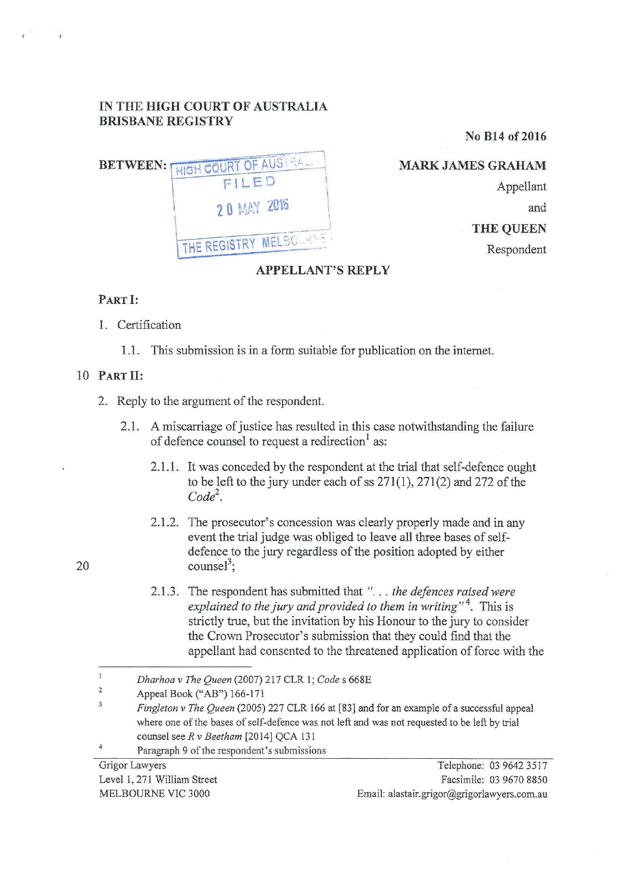## **IN THE HIGH COURT OF AUSTRALIA BRISBANE REGISTRY**

**No B14 of 2016** 

|  | BETWEEN: MIGH COURT OF AUSTRAL |
|--|--------------------------------|
|  | FILED                          |
|  | <b>20 MAY 2016</b>             |
|  | THE REGISTRY MELBORAL          |

**MARKJAMESGRAHAM**  Appellant and **THE QUEEN**  Respondent

## **APPELLANT'S REPLY**

## **PART I:**

1. Certification

1.1. This submission is in a form suitable for publication on the intemet.

## 10 **PART 11:**

- 2. Reply to the argument of the respondent.
	- 2.1. A miscarriage of justice has resulted in this case notwithstanding the failure of defence counsel to request a redirection<sup>1</sup> as:
		- 2.1.1. It was conceded by the respondent at the trial that self-defence ought to be left to the jury under each of ss 271(1), 271(2) and 272 of the  $Code<sup>2</sup>$ .
		- 2.1.2. The prosecutor's concession was clearly properly made and in any event the trial judge was obliged to leave all three bases of selfdefence to the jury regardless of the position adopted by either counsel<sup>3</sup>;
		- 2.1.3. The respondent has submitted that "... *the defences raised were* explained to the jury and provided to them in writing"<sup>4</sup>. This is strictly true, but the invitation by his Honour to the jury to consider the Crown Prosecutor's submission that they could find that the appellant had consented to the threatened application of force with the

2 Appeal Book ("AB") 166-171

- $\overline{\mathbf{3}}$ *Fingleton v The Queen* (2005) 227 CLR 166 at [83] and for an example of a successful appeal where one of the bases of self-defence was not left and was not requested to be left by trial counsel see *R v Beetham* [2014] QCA 131
- 4 Paragraph 9 of the respondent's submissions

Level 1, 271 William Street MELBOURNE VIC 3000

Grigor Lawyers Telephone: 03 9642 3517 Facsimile: 03 9670 8850 Email: alastair.grigor@grigorlawyers.com.au

 $\frac{1}{2}$ *Dharhoa v The Queen* (2007) 217 CLR 1; *Code* s 668E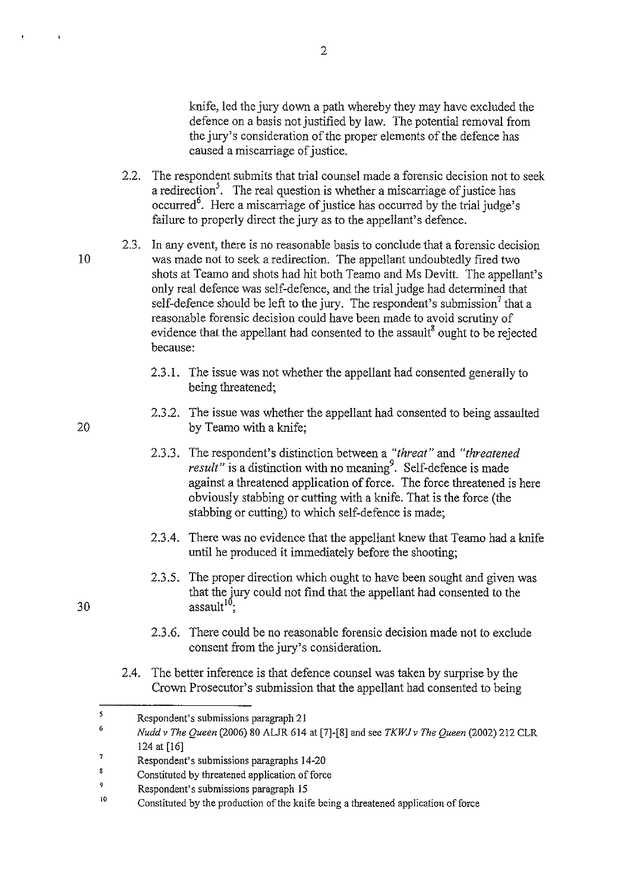knife, led the jury down a path whereby they may have excluded the defence on a basis not justified by law. The potential removal from the jury's consideration of the proper elements of the defence has caused a miscarriage of justice.

- 2.2. The respondent submits that trial counsel made a forensic decision not to seek a redirection<sup>5</sup>. The real question is whether a miscarriage of justice has occurred<sup>6</sup>. Here a miscarriage of justice has occurred by the trial judge's failure to properly direct the jury as to the appellant's defence.
- 2.3. In any event, there is no reasonable basis to conclude that a forensic decision was made not to seek a redirection. The appellant undoubtedly fired two shots at Teamo and shots had hit both Teamo and Ms Devitt. The appellant's only real defence was self-defence, and the trial judge had determined that self-defence should be left to the jury. The respondent's submission<sup>7</sup> that a reasonable forensic decision could have been made to avoid scrutiny of evidence that the appellant had consented to the assault<sup>8</sup> ought to be rejected because:
	- 2.3.1. The issue was not whether the appellant had consented generally to being threatened;
	- 2.3.2. The issue was whether the appellant had consented to being assaulted by Teamo with a knife;
	- 2.3.3. The respondent's distinction between a *"threat"* and *"threatened result*" is a distinction with no meaning<sup>9</sup>. Self-defence is made against a threatened application of force. The force threatened is here obviously stabbing or cutting with a knife. That is the force (the stabbing or cutting) to which self-defence is made;
	- 2.3.4. There was no evidence that the appellant knew that Teamo had a knife until he produced it immediately before the shooting;
	- 2.3.5. The proper direction which ought to have been sought and given was that the Jury could not find that the appellant had consented to the assault<sup>10</sup>;
	- 2.3.6. There could be no reasonable forensic decision made not to exclude consent from the jury's consideration.
- 2.4. The better inference is that defence counsel was taken by surprise by the Crown Prosecutor's submission that the appellant had consented to being

20

10

 $\overline{1}$ 

*<sup>5</sup>*  Respondent's submissions paragraph 21

<sup>6</sup>  *Nuddv The Queen* (2006) 80 AUR 614 at (7]-(8] and see *TKWJv The Queen* (2002) 212 CLR 124 at [16]

<sup>7</sup>  Respondent's submissions paragraphs 14-20

 $\overline{\mathbf{g}}$ Constituted by threatened application of force

<sup>9</sup>  Respondent's submissions paragraph 15

<sup>10</sup>  Constituted by the production of the knife being a threatened application of force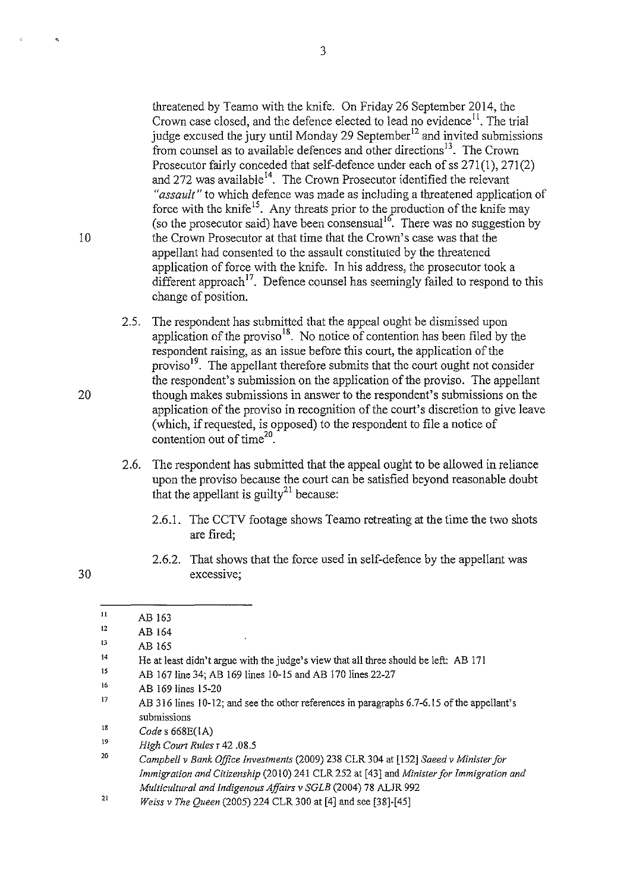threatened by Teamo with the knife. On Friday 26 September 2014, the Crown case closed, and the defence elected to lead no evidence<sup> $11$ </sup>. The trial judge excused the jury until Monday 29 September<sup>12</sup> and invited submissions from counsel as to available defences and other directions<sup>13</sup>. The Crown Prosecutor fairly conceded that self-defence under each of ss 271(1), 271(2) and 272 was available<sup>14</sup>. The Crown Prosecutor identified the relevant *"assault"* to which defence was made as including a threatened application of force with the knife<sup>15</sup>. Any threats prior to the production of the knife may (so the prosecutor said) have been consensual  $16$ . There was no suggestion by the Crown Prosecutor at that time that the Crown's case was that the appellant had consented to the assault constituted by the threatened application of force with the knife. In his address, the prosecutor took a different approach<sup>17</sup>. Defence counsel has seemingly failed to respond to this change of position.

- 2.5. The respondent has submitted that the appeal ought be dismissed upon application of the proviso<sup>18</sup>. No notice of contention has been filed by the respondent raising, as an issue before this court, the application of the proviso<sup>19</sup>. The appellant therefore submits that the court ought not consider the respondent's submission on the application of the proviso. The appellant 20 though makes submissions in answer to the respondent's submissions on the application of the proviso in recognition of the court's discretion to give leave (which, if requested, is opposed) to the respondent to file a notice of contention out of time $20$ .
	- 2.6. The respondent has submitted that the appeal ought to be allowed in reliance upon the proviso because the court can be satisfied beyond reasonable doubt that the appellant is guilty<sup>21</sup> because:
		- 2.6.1. The CCTV footage shows Teamo retreating at the time the two shots are fired;
		- 2.6.2. That shows that the force used in self-defence by the appellant was excessive;

10

 $\hat{\mathbf{e}}_i$ 

<sup>11</sup>  AB 163

<sup>12</sup>  AB 164

<sup>13</sup>  AB 165

<sup>14</sup>  He at least didn't argue with the judge's view that all three should be left: AB 171

<sup>15</sup>  AB 167 line 34; AB 169 lines 10-15 and AB 170 lines 22-27

<sup>16</sup>  AB 169 lines 15-20

<sup>17</sup>  AB 316 lines 10-12; and see the other references in paragraphs 6.7-6.15 of the appellant's **submissions** 

IS *Codes* 668E(IA)

l9 *High Court Rules* r 42 .08.5

<sup>20</sup>  *Campbe/1 v Bank Office Investments* (2009) 238 CLR 304 at [152] *Saeed v Minister for Immigration and Citizenship* (2010) 241 CLR 252 at [43] and *Minister for Immigration and Multicultural and Indigenous Affairs v SGLB* (2004) 78 ALJR 992

<sup>21</sup>  *Weiss v The Queen* (2005) 224 CLR 300 at [4] and see [38]-[45]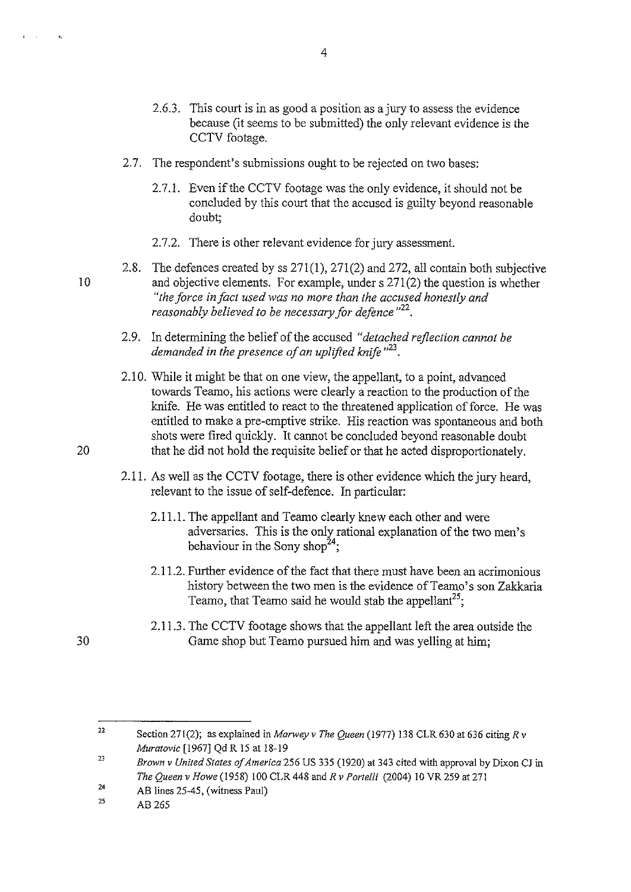- 2.6.3. This court is in as good a position as a jury to assess the evidence because (it seems to be submitted) the only relevant evidence is the CCTV footage.
- 2.7. The respondent's submissions ought to be rejected on two bases:
	- 2.7.1. Even if the CCTV footage was the only evidence, it should not be concluded by this court that the accused is guilty beyond reasonable doubt;
	- 2.7.2. There is other relevant evidence for jury assessment.
- 2.8. The defences created by ss 271(1), 271(2) and 272, all contain both subjective 10 and objective elements. For example, under s 271(2) the question is whether *"the force in fact used was no more than the accused honestly and reasonably believed to be necessary for defence*  $^{22}$ .
	- 2.9. In determining the belief of the accused *"detached reflection cannot be demanded in the presence of an uplifted knife* " <sup>23</sup> •
- 2.1 0. While it might be that on one view, the appellant, to a point, advanced towards Teamo, his actions were clearly a reaction to the production of the knife. He was entitled to react to the threatened application of force. He was entitled to make a pre-emptive strike. His reaction was spontaneous and both shots were fired quickly. It cannot be concluded beyond reasonable doubt 20 that he did not hold the requisite belief or that he acted disproportionately.
	- 2.11. As well as the CCTV footage, there is other evidence which the jury heard, relevant to the issue of self-defence. In particular:
		- 2.11.1. The appellant and Teamo clearly knew each other and were adversaries. This is the only rational explanation of the two men's behaviour in the Sony shop<sup>24</sup>;
		- 2.11.2. Further evidence of the fact that there must have been an acrimonious history between the two men is the evidence of Teamo's son Zakkaria Teamo, that Teamo said he would stab the appellant<sup>25</sup>;
		- 2.11.3. The CCTV footage shows that the appellant left the area outside the Game shop but Teamo pursued him and was yelling at him;

 $\mathbf{e}_k$ 

<sup>22</sup>  Section 271(2); as explained in *Marwey v The Queen* (1977) 138 CLR 630 at 636 citing *R v Muratovic* [1967) Qd R 15 at 18-19

 $\overline{23}$ *Brown v United States of America* 256 US 335 (1920) at 343 cited with approval by Dixon CJ in *The Queen v Howe* (1958) lOO CLR 448 and *R v Portelli* (2004) 10 VR 259 at 271

<sup>24</sup>  AB lines 25-45, (witness Paul)

<sup>25</sup>  AB265